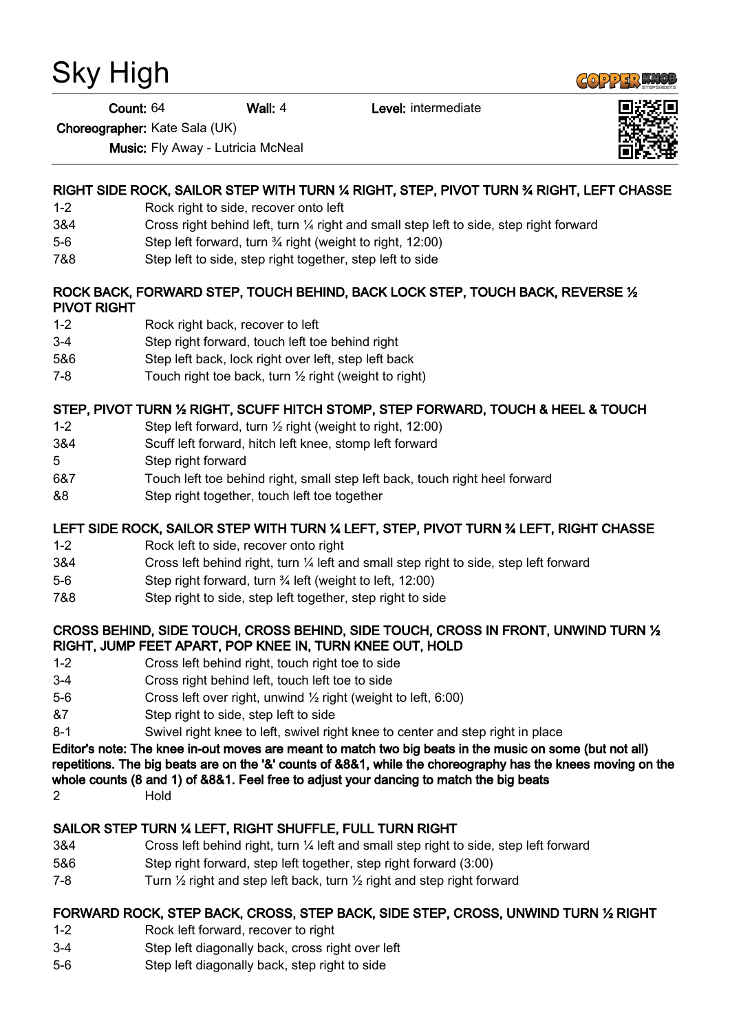# Sky High

**Count: 64** Wall: 4 Level: intermediate

Choreographer: Kate Sala (UK)

Music: Fly Away - Lutricia McNeal

# RIGHT SIDE ROCK, SAILOR STEP WITH TURN ¼ RIGHT, STEP, PIVOT TURN ¾ RIGHT, LEFT CHASSE

- 1-2 Rock right to side, recover onto left
- 3&4 Cross right behind left, turn ¼ right and small step left to side, step right forward
- 5-6 Step left forward, turn ¾ right (weight to right, 12:00)
- 7&8 Step left to side, step right together, step left to side

#### ROCK BACK, FORWARD STEP, TOUCH BEHIND, BACK LOCK STEP, TOUCH BACK, REVERSE ½ PIVOT RIGHT

- 1-2 Rock right back, recover to left
- 3-4 Step right forward, touch left toe behind right
- 5&6 Step left back, lock right over left, step left back
- 7-8 Touch right toe back, turn ½ right (weight to right)

# STEP, PIVOT TURN ½ RIGHT, SCUFF HITCH STOMP, STEP FORWARD, TOUCH & HEEL & TOUCH

- 1-2 Step left forward, turn ½ right (weight to right, 12:00)
- 3&4 Scuff left forward, hitch left knee, stomp left forward
- 5 Step right forward
- 6&7 Touch left toe behind right, small step left back, touch right heel forward
- &8 Step right together, touch left toe together

## LEFT SIDE ROCK, SAILOR STEP WITH TURN ¼ LEFT, STEP, PIVOT TURN ¾ LEFT, RIGHT CHASSE

- 1-2 Rock left to side, recover onto right
- 3&4 Cross left behind right, turn ¼ left and small step right to side, step left forward
- 5-6 Step right forward, turn <sup>3</sup>/4 left (weight to left, 12:00)
- 7&8 Step right to side, step left together, step right to side

#### CROSS BEHIND, SIDE TOUCH, CROSS BEHIND, SIDE TOUCH, CROSS IN FRONT, UNWIND TURN ½ RIGHT, JUMP FEET APART, POP KNEE IN, TURN KNEE OUT, HOLD

- 1-2 Cross left behind right, touch right toe to side
- 3-4 Cross right behind left, touch left toe to side
- 5-6 Cross left over right, unwind ½ right (weight to left, 6:00)
- &7 Step right to side, step left to side
- 8-1 Swivel right knee to left, swivel right knee to center and step right in place

Editor's note: The knee in-out moves are meant to match two big beats in the music on some (but not all) repetitions. The big beats are on the '&' counts of &8&1, while the choreography has the knees moving on the whole counts (8 and 1) of &8&1. Feel free to adjust your dancing to match the big beats

2 Hold

## SAILOR STEP TURN ¼ LEFT, RIGHT SHUFFLE, FULL TURN RIGHT

- 3&4 Cross left behind right, turn ¼ left and small step right to side, step left forward
- 5&6 Step right forward, step left together, step right forward (3:00)
- 7-8 Turn  $\frac{1}{2}$  right and step left back, turn  $\frac{1}{2}$  right and step right forward

## FORWARD ROCK, STEP BACK, CROSS, STEP BACK, SIDE STEP, CROSS, UNWIND TURN ½ RIGHT

- 1-2 Rock left forward, recover to right
- 3-4 Step left diagonally back, cross right over left
- 5-6 Step left diagonally back, step right to side